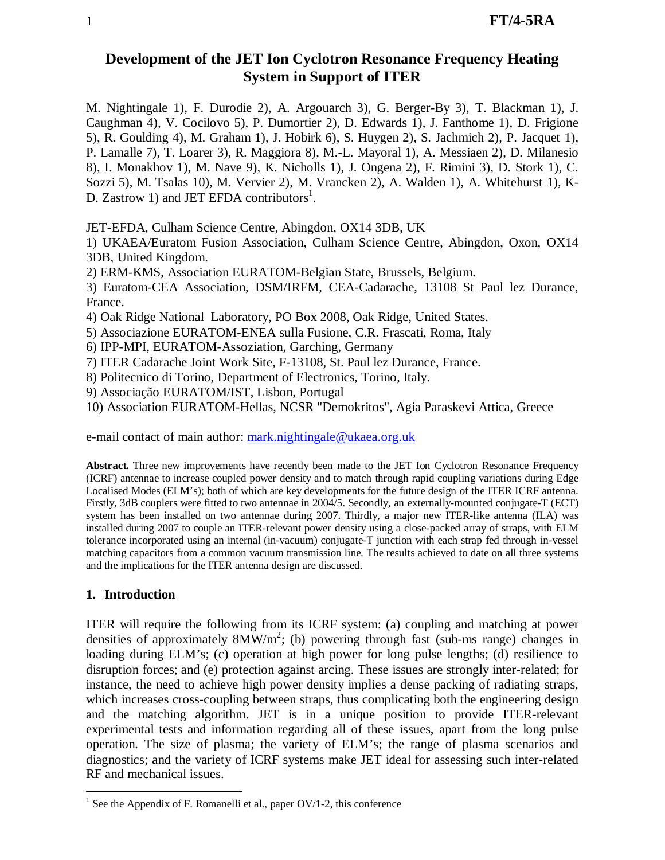## **Development of the JET Ion Cyclotron Resonance Frequency Heating System in Support of ITER**

M. Nightingale 1), F. Durodie 2), A. Argouarch 3), G. Berger-By 3), T. Blackman 1), J. Caughman 4), V. Cocilovo 5), P. Dumortier 2), D. Edwards 1), J. Fanthome 1), D. Frigione 5), R. Goulding 4), M. Graham 1), J. Hobirk 6), S. Huygen 2), S. Jachmich 2), P. Jacquet 1), P. Lamalle 7), T. Loarer 3), R. Maggiora 8), M.-L. Mayoral 1), A. Messiaen 2), D. Milanesio 8), I. Monakhov 1), M. Nave 9), K. Nicholls 1), J. Ongena 2), F. Rimini 3), D. Stork 1), C. Sozzi 5), M. Tsalas 10), M. Vervier 2), M. Vrancken 2), A. Walden 1), A. Whitehurst 1), K-D. Zastrow 1) and JET EFDA contributors<sup>1</sup>.

JET-EFDA, Culham Science Centre, Abingdon, OX14 3DB, UK

- 1) UKAEA/Euratom Fusion Association, Culham Science Centre, Abingdon, Oxon, OX14 3DB, United Kingdom.
- 2) ERM-KMS, Association EURATOM-Belgian State, Brussels, Belgium.
- 3) Euratom-CEA Association, DSM/IRFM, CEA-Cadarache, 13108 St Paul lez Durance, France.
- 4) Oak Ridge National Laboratory, PO Box 2008, Oak Ridge, United States.
- 5) Associazione EURATOM-ENEA sulla Fusione, C.R. Frascati, Roma, Italy
- 6) IPP-MPI, EURATOM-Assoziation, Garching, Germany
- 7) ITER Cadarache Joint Work Site, F-13108, St. Paul lez Durance, France.
- 8) Politecnico di Torino, Department of Electronics, Torino, Italy.
- 9) Associação EURATOM/IST, Lisbon, Portugal
- 10) Association EURATOM-Hellas, NCSR "Demokritos", Agia Paraskevi Attica, Greece

e-mail contact of main author: mark.nightingale@ukaea.org.uk

**Abstract.** Three new improvements have recently been made to the JET Ion Cyclotron Resonance Frequency (ICRF) antennae to increase coupled power density and to match through rapid coupling variations during Edge Localised Modes (ELM's); both of which are key developments for the future design of the ITER ICRF antenna. Firstly, 3dB couplers were fitted to two antennae in 2004/5. Secondly, an externally-mounted conjugate-T (ECT) system has been installed on two antennae during 2007. Thirdly, a major new ITER-like antenna (ILA) was installed during 2007 to couple an ITER-relevant power density using a close-packed array of straps, with ELM tolerance incorporated using an internal (in-vacuum) conjugate-T junction with each strap fed through in-vessel matching capacitors from a common vacuum transmission line. The results achieved to date on all three systems and the implications for the ITER antenna design are discussed.

## **1. Introduction**

 $\overline{a}$ 

ITER will require the following from its ICRF system: (a) coupling and matching at power densities of approximately  $8MW/m^2$ ; (b) powering through fast (sub-ms range) changes in loading during ELM's; (c) operation at high power for long pulse lengths; (d) resilience to disruption forces; and (e) protection against arcing. These issues are strongly inter-related; for instance, the need to achieve high power density implies a dense packing of radiating straps, which increases cross-coupling between straps, thus complicating both the engineering design and the matching algorithm. JET is in a unique position to provide ITER-relevant experimental tests and information regarding all of these issues, apart from the long pulse operation. The size of plasma; the variety of ELM's; the range of plasma scenarios and diagnostics; and the variety of ICRF systems make JET ideal for assessing such inter-related RF and mechanical issues.

<sup>&</sup>lt;sup>1</sup> See the Appendix of F. Romanelli et al., paper  $\text{OV}/\text{1-2}$ , this conference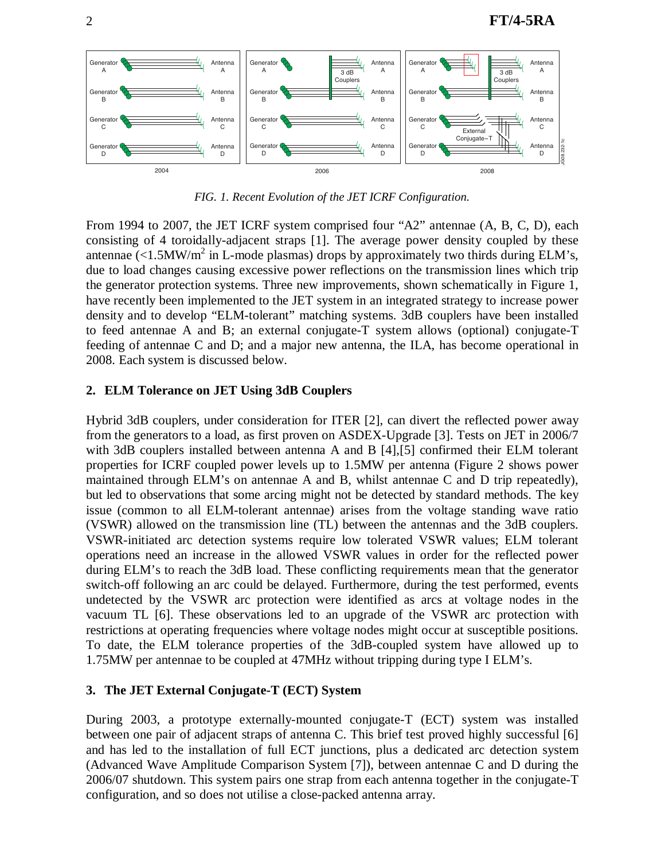

*FIG. 1. Recent Evolution of the JET ICRF Configuration.*

From 1994 to 2007, the JET ICRF system comprised four "A2" antennae (A, B, C, D), each consisting of 4 toroidally-adjacent straps [1]. The average power density coupled by these antennae  $\epsilon$  (<1.5MW/m<sup>2</sup> in L-mode plasmas) drops by approximately two thirds during ELM's, due to load changes causing excessive power reflections on the transmission lines which trip the generator protection systems. Three new improvements, shown schematically in Figure 1, have recently been implemented to the JET system in an integrated strategy to increase power density and to develop "ELM-tolerant" matching systems. 3dB couplers have been installed to feed antennae A and B; an external conjugate-T system allows (optional) conjugate-T feeding of antennae C and D; and a major new antenna, the ILA, has become operational in 2008. Each system is discussed below.

## **2. ELM Tolerance on JET Using 3dB Couplers**

Hybrid 3dB couplers, under consideration for ITER [2], can divert the reflected power away from the generators to a load, as first proven on ASDEX-Upgrade [3]. Tests on JET in 2006/7 with 3dB couplers installed between antenna A and B [4], [5] confirmed their ELM tolerant properties for ICRF coupled power levels up to 1.5MW per antenna (Figure 2 shows power maintained through ELM's on antennae A and B, whilst antennae C and D trip repeatedly), but led to observations that some arcing might not be detected by standard methods. The key issue (common to all ELM-tolerant antennae) arises from the voltage standing wave ratio (VSWR) allowed on the transmission line (TL) between the antennas and the 3dB couplers. VSWR-initiated arc detection systems require low tolerated VSWR values; ELM tolerant operations need an increase in the allowed VSWR values in order for the reflected power during ELM's to reach the 3dB load. These conflicting requirements mean that the generator switch-off following an arc could be delayed. Furthermore, during the test performed, events undetected by the VSWR arc protection were identified as arcs at voltage nodes in the vacuum TL [6]. These observations led to an upgrade of the VSWR arc protection with restrictions at operating frequencies where voltage nodes might occur at susceptible positions. To date, the ELM tolerance properties of the 3dB-coupled system have allowed up to 1.75MW per antennae to be coupled at 47MHz without tripping during type I ELM's.

### **3. The JET External Conjugate-T (ECT) System**

During 2003, a prototype externally-mounted conjugate-T (ECT) system was installed between one pair of adjacent straps of antenna C. This brief test proved highly successful [6] and has led to the installation of full ECT junctions, plus a dedicated arc detection system (Advanced Wave Amplitude Comparison System [7]), between antennae C and D during the 2006/07 shutdown. This system pairs one strap from each antenna together in the conjugate-T configuration, and so does not utilise a close-packed antenna array.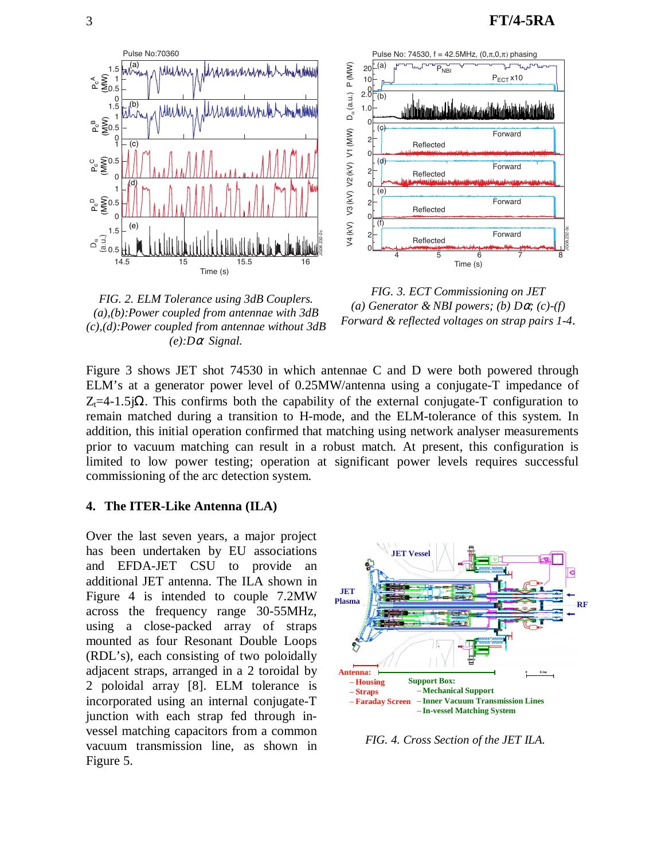





*FIG. 3. ECT Commissioning on JET (a) Generator & NBI powers; (b) D*α*; (c)-(f) Forward & reflected voltages on strap pairs 1-4*.

Figure 3 shows JET shot 74530 in which antennae C and D were both powered through ELM's at a generator power level of 0.25MW/antenna using a conjugate-T impedance of  $Z_1 = 4-1.5$ jΩ. This confirms both the capability of the external conjugate-T configuration to remain matched during a transition to H-mode, and the ELM-tolerance of this system. In addition, this initial operation confirmed that matching using network analyser measurements prior to vacuum matching can result in a robust match. At present, this configuration is limited to low power testing; operation at significant power levels requires successful commissioning of the arc detection system.

#### **4. The ITER-Like Antenna (ILA)**

Over the last seven years, a major project has been undertaken by EU associations and EFDA-JET CSU to provide an additional JET antenna. The ILA shown in Figure 4 is intended to couple 7.2MW across the frequency range 30-55MHz, using a close-packed array of straps mounted as four Resonant Double Loops (RDL's), each consisting of two poloidally adjacent straps, arranged in a 2 toroidal by 2 poloidal array [8]. ELM tolerance is incorporated using an internal conjugate-T junction with each strap fed through invessel matching capacitors from a common vacuum transmission line, as shown in Figure 5.



*FIG. 4. Cross Section of the JET ILA.*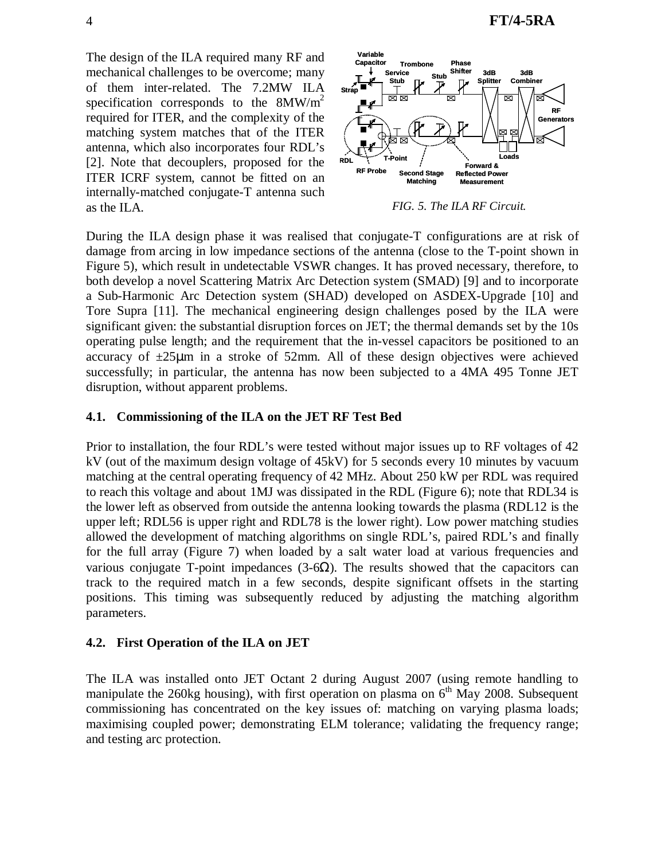The design of the ILA required many RF and mechanical challenges to be overcome; many of them inter-related. The 7.2MW ILA specification corresponds to the  $8MW/m<sup>2</sup>$ required for ITER, and the complexity of the matching system matches that of the ITER antenna, which also incorporates four RDL's [2]. Note that decouplers, proposed for the ITER ICRF system, cannot be fitted on an internally-matched conjugate-T antenna such as the ILA.



*FIG. 5. The ILA RF Circuit.*

During the ILA design phase it was realised that conjugate-T configurations are at risk of damage from arcing in low impedance sections of the antenna (close to the T-point shown in Figure 5), which result in undetectable VSWR changes. It has proved necessary, therefore, to both develop a novel Scattering Matrix Arc Detection system (SMAD) [9] and to incorporate a Sub-Harmonic Arc Detection system (SHAD) developed on ASDEX-Upgrade [10] and Tore Supra [11]. The mechanical engineering design challenges posed by the ILA were significant given: the substantial disruption forces on JET; the thermal demands set by the 10s operating pulse length; and the requirement that the in-vessel capacitors be positioned to an accuracy of  $\pm 25\mu m$  in a stroke of 52mm. All of these design objectives were achieved successfully; in particular, the antenna has now been subjected to a 4MA 495 Tonne JET disruption, without apparent problems.

### **4.1. Commissioning of the ILA on the JET RF Test Bed**

Prior to installation, the four RDL's were tested without major issues up to RF voltages of 42 kV (out of the maximum design voltage of 45kV) for 5 seconds every 10 minutes by vacuum matching at the central operating frequency of 42 MHz. About 250 kW per RDL was required to reach this voltage and about 1MJ was dissipated in the RDL (Figure 6); note that RDL34 is the lower left as observed from outside the antenna looking towards the plasma (RDL12 is the upper left; RDL56 is upper right and RDL78 is the lower right). Low power matching studies allowed the development of matching algorithms on single RDL's, paired RDL's and finally for the full array (Figure 7) when loaded by a salt water load at various frequencies and various conjugate T-point impedances  $(3-6\Omega)$ . The results showed that the capacitors can track to the required match in a few seconds, despite significant offsets in the starting positions. This timing was subsequently reduced by adjusting the matching algorithm parameters.

### **4.2. First Operation of the ILA on JET**

The ILA was installed onto JET Octant 2 during August 2007 (using remote handling to manipulate the 260kg housing), with first operation on plasma on  $6<sup>th</sup>$  May 2008. Subsequent commissioning has concentrated on the key issues of: matching on varying plasma loads; maximising coupled power; demonstrating ELM tolerance; validating the frequency range; and testing arc protection.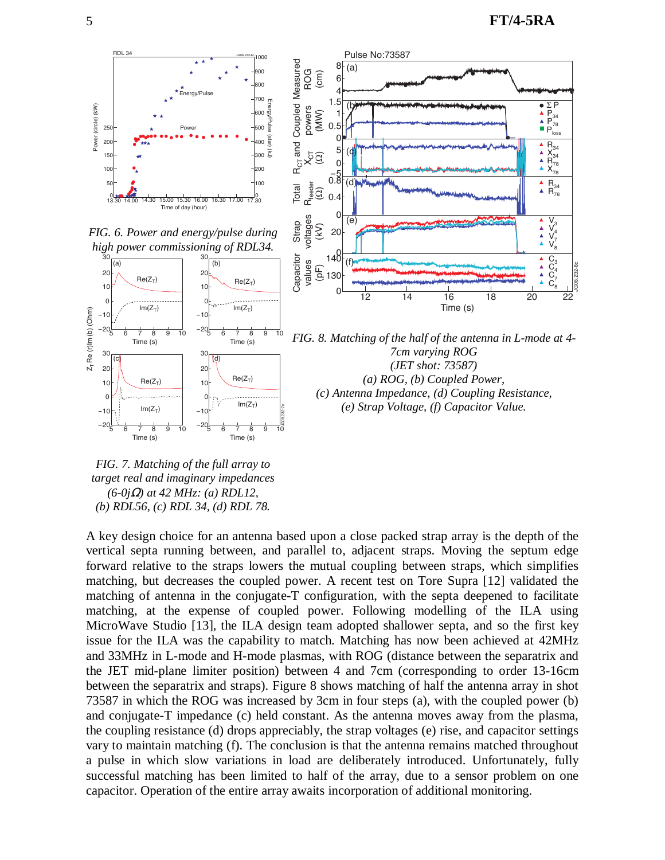

*FIG. 7. Matching of the full array to target real and imaginary impedances (6-0j*Ω*) at 42 MHz: (a) RDL12, (b) RDL56, (c) RDL 34, (d) RDL 78.*

A key design choice for an antenna based upon a close packed strap array is the depth of the vertical septa running between, and parallel to, adjacent straps. Moving the septum edge forward relative to the straps lowers the mutual coupling between straps, which simplifies matching, but decreases the coupled power. A recent test on Tore Supra [12] validated the matching of antenna in the conjugate-T configuration, with the septa deepened to facilitate matching, at the expense of coupled power. Following modelling of the ILA using MicroWave Studio [13], the ILA design team adopted shallower septa, and so the first key issue for the ILA was the capability to match. Matching has now been achieved at 42MHz and 33MHz in L-mode and H-mode plasmas, with ROG (distance between the separatrix and the JET mid-plane limiter position) between 4 and 7cm (corresponding to order 13-16cm between the separatrix and straps). Figure 8 shows matching of half the antenna array in shot 73587 in which the ROG was increased by 3cm in four steps (a), with the coupled power (b) and conjugate-T impedance (c) held constant. As the antenna moves away from the plasma, the coupling resistance (d) drops appreciably, the strap voltages (e) rise, and capacitor settings vary to maintain matching (f). The conclusion is that the antenna remains matched throughout a pulse in which slow variations in load are deliberately introduced. Unfortunately, fully successful matching has been limited to half of the array, due to a sensor problem on one capacitor. Operation of the entire array awaits incorporation of additional monitoring.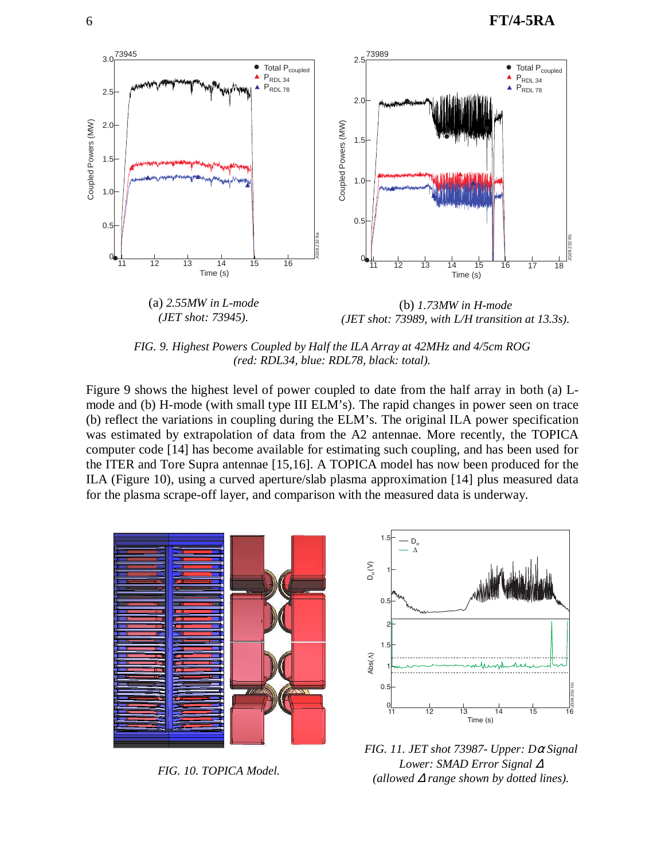

*FIG. 9. Highest Powers Coupled by Half the ILA Array at 42MHz and 4/5cm ROG (red: RDL34, blue: RDL78, black: total).*

Figure 9 shows the highest level of power coupled to date from the half array in both (a) Lmode and (b) H-mode (with small type III ELM's). The rapid changes in power seen on trace (b) reflect the variations in coupling during the ELM's. The original ILA power specification was estimated by extrapolation of data from the A2 antennae. More recently, the TOPICA computer code [14] has become available for estimating such coupling, and has been used for the ITER and Tore Supra antennae [15,16]. A TOPICA model has now been produced for the ILA (Figure 10), using a curved aperture/slab plasma approximation [14] plus measured data for the plasma scrape-off layer, and comparison with the measured data is underway.



*FIG. 10. TOPICA Model.*



*FIG. 11. JET shot 73987- Upper: D*α *Signal Lower: SMAD Error Signal* <sup>∆</sup> *(allowed* ∆ *range shown by dotted lines).*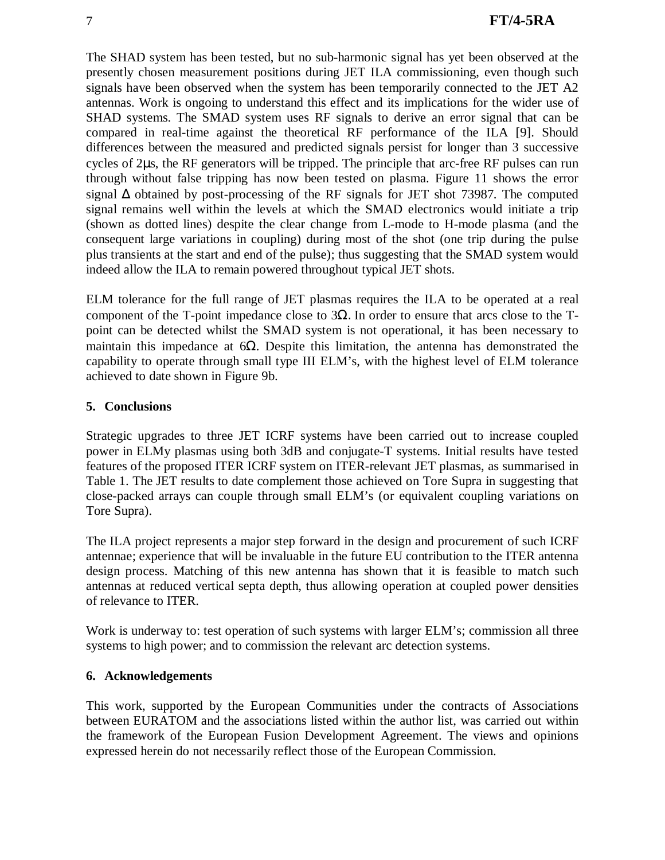The SHAD system has been tested, but no sub-harmonic signal has yet been observed at the presently chosen measurement positions during JET ILA commissioning, even though such signals have been observed when the system has been temporarily connected to the JET A2 antennas. Work is ongoing to understand this effect and its implications for the wider use of SHAD systems. The SMAD system uses RF signals to derive an error signal that can be compared in real-time against the theoretical RF performance of the ILA [9]. Should differences between the measured and predicted signals persist for longer than 3 successive cycles of 2µs, the RF generators will be tripped. The principle that arc-free RF pulses can run through without false tripping has now been tested on plasma. Figure 11 shows the error signal ∆ obtained by post-processing of the RF signals for JET shot 73987. The computed signal remains well within the levels at which the SMAD electronics would initiate a trip (shown as dotted lines) despite the clear change from L-mode to H-mode plasma (and the consequent large variations in coupling) during most of the shot (one trip during the pulse plus transients at the start and end of the pulse); thus suggesting that the SMAD system would indeed allow the ILA to remain powered throughout typical JET shots.

ELM tolerance for the full range of JET plasmas requires the ILA to be operated at a real component of the T-point impedance close to  $3Ω$ . In order to ensure that arcs close to the Tpoint can be detected whilst the SMAD system is not operational, it has been necessary to maintain this impedance at  $6\Omega$ . Despite this limitation, the antenna has demonstrated the capability to operate through small type III ELM's, with the highest level of ELM tolerance achieved to date shown in Figure 9b.

## **5. Conclusions**

Strategic upgrades to three JET ICRF systems have been carried out to increase coupled power in ELMy plasmas using both 3dB and conjugate-T systems. Initial results have tested features of the proposed ITER ICRF system on ITER-relevant JET plasmas, as summarised in Table 1. The JET results to date complement those achieved on Tore Supra in suggesting that close-packed arrays can couple through small ELM's (or equivalent coupling variations on Tore Supra).

The ILA project represents a major step forward in the design and procurement of such ICRF antennae; experience that will be invaluable in the future EU contribution to the ITER antenna design process. Matching of this new antenna has shown that it is feasible to match such antennas at reduced vertical septa depth, thus allowing operation at coupled power densities of relevance to ITER.

Work is underway to: test operation of such systems with larger ELM's; commission all three systems to high power; and to commission the relevant arc detection systems.

### **6. Acknowledgements**

This work, supported by the European Communities under the contracts of Associations between EURATOM and the associations listed within the author list, was carried out within the framework of the European Fusion Development Agreement. The views and opinions expressed herein do not necessarily reflect those of the European Commission.